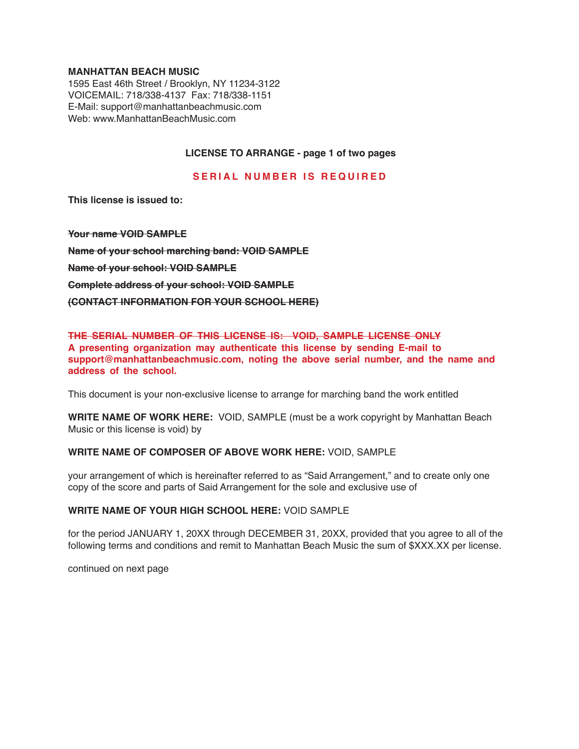#### **MANHATTAN BEACH MUSIC**

1595 East 46th Street / Brooklyn, NY 11234-3122 VOICEMAIL: 718/338-4137 Fax: 718/338-1151 E-Mail: support@manhattanbeachmusic.com Web: www.ManhattanBeachMusic.com

# **LICENSE TO ARRANGE - page 1 of two pages**

## **SERIAL NUMBER IS REQUIRED**

**This license is issued to:**

**Your name VOID SAMPLE Name of your school marching band: VOID SAMPLE Name of your school: VOID SAMPLE Complete address of your school: VOID SAMPLE (CONTACT INFORMATION FOR YOUR SCHOOL HERE)**

# **THE SERIAL NUMBER OF THIS LICENSE IS: VOID, SAMPLE LICENSE ONLY A presenting organization may authenticate this license by sending E-mail to support@manhattanbeachmusic.com, noting the above serial number, and the name and address of the school.**

This document is your non-exclusive license to arrange for marching band the work entitled

**WRITE NAME OF WORK HERE:** VOID, SAMPLE (must be a work copyright by Manhattan Beach Music or this license is void) by

#### **WRITE NAME OF COMPOSER OF ABOVE WORK HERE:** VOID, SAMPLE

your arrangement of which is hereinafter referred to as "Said Arrangement," and to create only one copy of the score and parts of Said Arrangement for the sole and exclusive use of

#### **WRITE NAME OF YOUR HIGH SCHOOL HERE:** VOID SAMPLE

for the period JANUARY 1, 20XX through DECEMBER 31, 20XX, provided that you agree to all of the following terms and conditions and remit to Manhattan Beach Music the sum of \$XXX.XX per license.

continued on next page